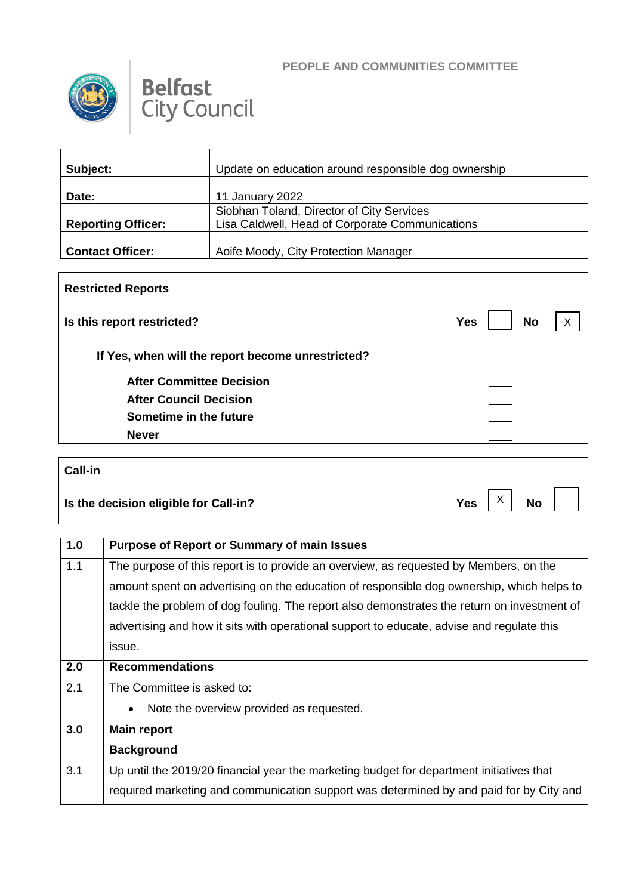



| Subject:                  | Update on education around responsible dog ownership |
|---------------------------|------------------------------------------------------|
| Date:                     | 11 January 2022                                      |
|                           | Siobhan Toland, Director of City Services            |
| <b>Reporting Officer:</b> | Lisa Caldwell, Head of Corporate Communications      |
|                           |                                                      |
| <b>Contact Officer:</b>   | Aoife Moody, City Protection Manager                 |

## **Restricted Reports Is this report restricted? No If Yes, when will the report become unrestricted? After Committee Decision After Council Decision Sometime in the future Never**  $\mathsf{X}$

| <b>Call-in</b>                        |     |                           |           |  |
|---------------------------------------|-----|---------------------------|-----------|--|
| Is the decision eligible for Call-in? | Yes | $\checkmark$<br>$\lambda$ | <b>No</b> |  |

| 1.0 | <b>Purpose of Report or Summary of main Issues</b>                                          |
|-----|---------------------------------------------------------------------------------------------|
| 1.1 | The purpose of this report is to provide an overview, as requested by Members, on the       |
|     | amount spent on advertising on the education of responsible dog ownership, which helps to   |
|     | tackle the problem of dog fouling. The report also demonstrates the return on investment of |
|     | advertising and how it sits with operational support to educate, advise and regulate this   |
|     | issue.                                                                                      |
| 2.0 | <b>Recommendations</b>                                                                      |
| 2.1 | The Committee is asked to:                                                                  |
|     | Note the overview provided as requested.<br>$\bullet$                                       |
| 3.0 | <b>Main report</b>                                                                          |
|     | <b>Background</b>                                                                           |
| 3.1 | Up until the 2019/20 financial year the marketing budget for department initiatives that    |
|     | required marketing and communication support was determined by and paid for by City and     |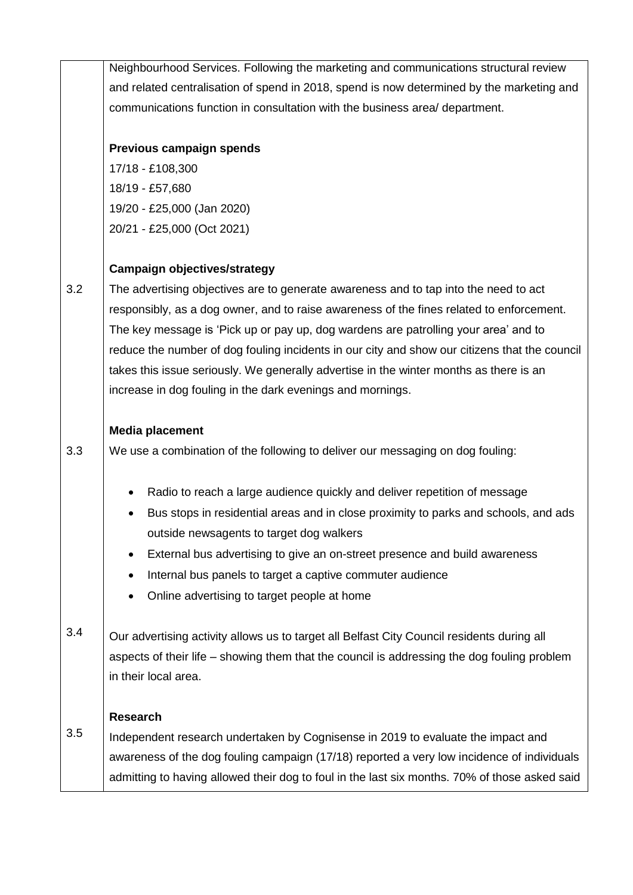|     | Neighbourhood Services. Following the marketing and communications structural review             |  |  |
|-----|--------------------------------------------------------------------------------------------------|--|--|
|     | and related centralisation of spend in 2018, spend is now determined by the marketing and        |  |  |
|     | communications function in consultation with the business area/ department.                      |  |  |
|     |                                                                                                  |  |  |
|     | Previous campaign spends                                                                         |  |  |
|     | 17/18 - £108,300                                                                                 |  |  |
|     | 18/19 - £57,680                                                                                  |  |  |
|     | 19/20 - £25,000 (Jan 2020)                                                                       |  |  |
|     | 20/21 - £25,000 (Oct 2021)                                                                       |  |  |
|     | <b>Campaign objectives/strategy</b>                                                              |  |  |
| 3.2 | The advertising objectives are to generate awareness and to tap into the need to act             |  |  |
|     | responsibly, as a dog owner, and to raise awareness of the fines related to enforcement.         |  |  |
|     | The key message is 'Pick up or pay up, dog wardens are patrolling your area' and to              |  |  |
|     | reduce the number of dog fouling incidents in our city and show our citizens that the council    |  |  |
|     | takes this issue seriously. We generally advertise in the winter months as there is an           |  |  |
|     | increase in dog fouling in the dark evenings and mornings.                                       |  |  |
|     |                                                                                                  |  |  |
|     | <b>Media placement</b>                                                                           |  |  |
| 3.3 | We use a combination of the following to deliver our messaging on dog fouling:                   |  |  |
|     | Radio to reach a large audience quickly and deliver repetition of message<br>$\bullet$           |  |  |
|     | Bus stops in residential areas and in close proximity to parks and schools, and ads<br>$\bullet$ |  |  |
|     | outside newsagents to target dog walkers                                                         |  |  |
|     | External bus advertising to give an on-street presence and build awareness<br>$\bullet$          |  |  |
|     | Internal bus panels to target a captive commuter audience<br>$\bullet$                           |  |  |
|     | Online advertising to target people at home<br>$\bullet$                                         |  |  |
| 3.4 | Our advertising activity allows us to target all Belfast City Council residents during all       |  |  |
|     | aspects of their life – showing them that the council is addressing the dog fouling problem      |  |  |
|     | in their local area.                                                                             |  |  |
|     |                                                                                                  |  |  |
|     | <b>Research</b>                                                                                  |  |  |
| 3.5 | Independent research undertaken by Cognisense in 2019 to evaluate the impact and                 |  |  |
|     | awareness of the dog fouling campaign (17/18) reported a very low incidence of individuals       |  |  |
|     | admitting to having allowed their dog to foul in the last six months. 70% of those asked said    |  |  |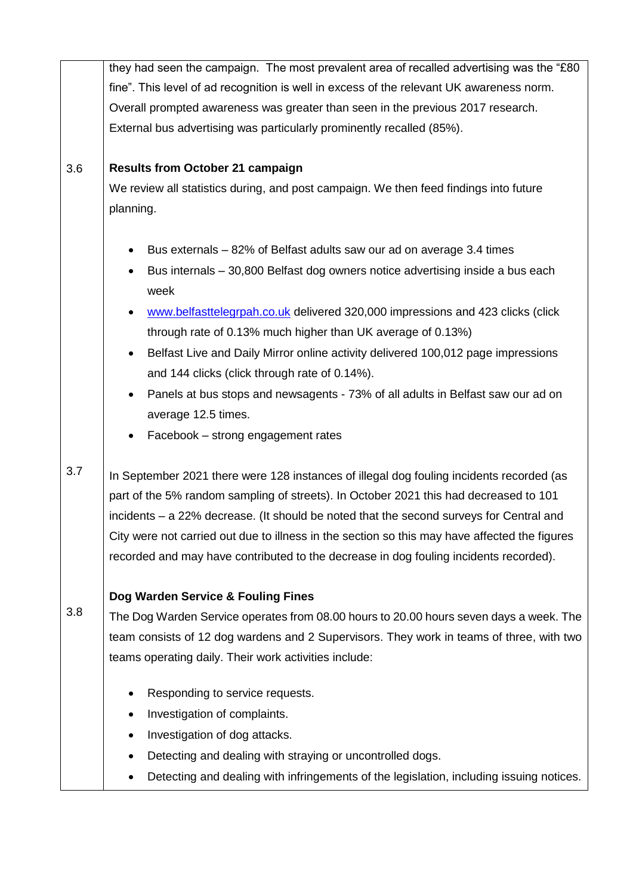|     | they had seen the campaign. The most prevalent area of recalled advertising was the "£80      |  |  |
|-----|-----------------------------------------------------------------------------------------------|--|--|
|     | fine". This level of ad recognition is well in excess of the relevant UK awareness norm.      |  |  |
|     | Overall prompted awareness was greater than seen in the previous 2017 research.               |  |  |
|     | External bus advertising was particularly prominently recalled (85%).                         |  |  |
|     |                                                                                               |  |  |
| 3.6 | <b>Results from October 21 campaign</b>                                                       |  |  |
|     | We review all statistics during, and post campaign. We then feed findings into future         |  |  |
|     | planning.                                                                                     |  |  |
|     |                                                                                               |  |  |
|     | Bus externals – 82% of Belfast adults saw our ad on average 3.4 times                         |  |  |
|     | Bus internals - 30,800 Belfast dog owners notice advertising inside a bus each<br>week        |  |  |
|     | www.belfasttelegrpah.co.uk delivered 320,000 impressions and 423 clicks (click                |  |  |
|     | through rate of 0.13% much higher than UK average of 0.13%)                                   |  |  |
|     | Belfast Live and Daily Mirror online activity delivered 100,012 page impressions<br>٠         |  |  |
|     | and 144 clicks (click through rate of 0.14%).                                                 |  |  |
|     | Panels at bus stops and newsagents - 73% of all adults in Belfast saw our ad on<br>$\bullet$  |  |  |
|     | average 12.5 times.                                                                           |  |  |
|     | Facebook - strong engagement rates<br>٠                                                       |  |  |
| 3.7 | In September 2021 there were 128 instances of illegal dog fouling incidents recorded (as      |  |  |
|     | part of the 5% random sampling of streets). In October 2021 this had decreased to 101         |  |  |
|     | incidents - a 22% decrease. (It should be noted that the second surveys for Central and       |  |  |
|     | City were not carried out due to illness in the section so this may have affected the figures |  |  |
|     | recorded and may have contributed to the decrease in dog fouling incidents recorded).         |  |  |
|     | Dog Warden Service & Fouling Fines                                                            |  |  |
| 3.8 | The Dog Warden Service operates from 08.00 hours to 20.00 hours seven days a week. The        |  |  |
|     | team consists of 12 dog wardens and 2 Supervisors. They work in teams of three, with two      |  |  |
|     | teams operating daily. Their work activities include:                                         |  |  |
|     | Responding to service requests.                                                               |  |  |
|     | Investigation of complaints.<br>٠                                                             |  |  |
|     | Investigation of dog attacks.<br>٠                                                            |  |  |
|     | Detecting and dealing with straying or uncontrolled dogs.<br>٠                                |  |  |
|     | Detecting and dealing with infringements of the legislation, including issuing notices.       |  |  |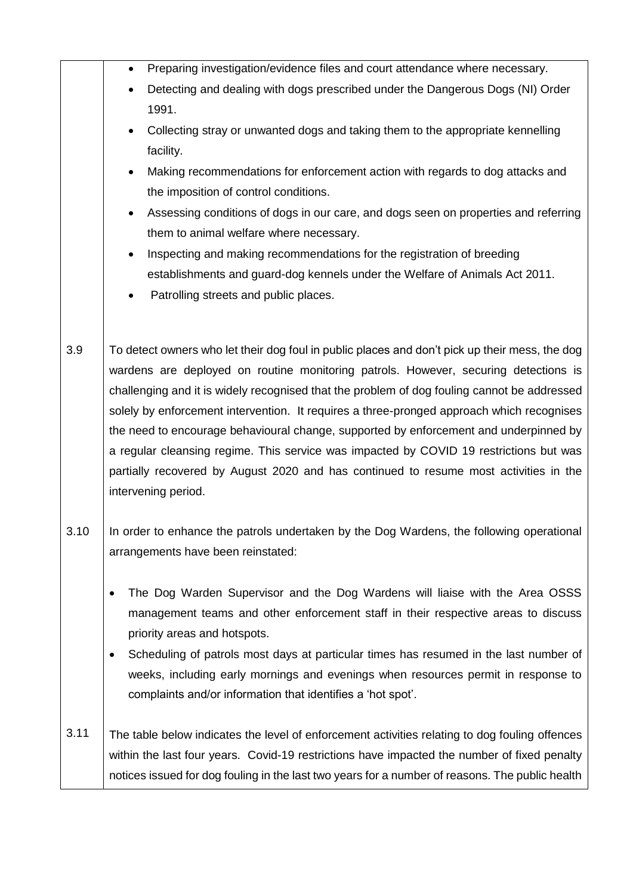|      | Preparing investigation/evidence files and court attendance where necessary.                                                                                                                                                                                                                                                                                                                                                                                                                                                                                                                                                                                                         |
|------|--------------------------------------------------------------------------------------------------------------------------------------------------------------------------------------------------------------------------------------------------------------------------------------------------------------------------------------------------------------------------------------------------------------------------------------------------------------------------------------------------------------------------------------------------------------------------------------------------------------------------------------------------------------------------------------|
|      | Detecting and dealing with dogs prescribed under the Dangerous Dogs (NI) Order<br>1991.                                                                                                                                                                                                                                                                                                                                                                                                                                                                                                                                                                                              |
|      | Collecting stray or unwanted dogs and taking them to the appropriate kennelling<br>facility.                                                                                                                                                                                                                                                                                                                                                                                                                                                                                                                                                                                         |
|      | Making recommendations for enforcement action with regards to dog attacks and<br>the imposition of control conditions.                                                                                                                                                                                                                                                                                                                                                                                                                                                                                                                                                               |
|      | Assessing conditions of dogs in our care, and dogs seen on properties and referring<br>them to animal welfare where necessary.                                                                                                                                                                                                                                                                                                                                                                                                                                                                                                                                                       |
|      | Inspecting and making recommendations for the registration of breeding                                                                                                                                                                                                                                                                                                                                                                                                                                                                                                                                                                                                               |
|      | establishments and guard-dog kennels under the Welfare of Animals Act 2011.<br>Patrolling streets and public places.                                                                                                                                                                                                                                                                                                                                                                                                                                                                                                                                                                 |
| 3.9  | To detect owners who let their dog foul in public places and don't pick up their mess, the dog<br>wardens are deployed on routine monitoring patrols. However, securing detections is<br>challenging and it is widely recognised that the problem of dog fouling cannot be addressed<br>solely by enforcement intervention. It requires a three-pronged approach which recognises<br>the need to encourage behavioural change, supported by enforcement and underpinned by<br>a regular cleansing regime. This service was impacted by COVID 19 restrictions but was<br>partially recovered by August 2020 and has continued to resume most activities in the<br>intervening period. |
| 3.10 | In order to enhance the patrols undertaken by the Dog Wardens, the following operational<br>arrangements have been reinstated:                                                                                                                                                                                                                                                                                                                                                                                                                                                                                                                                                       |
|      | The Dog Warden Supervisor and the Dog Wardens will liaise with the Area OSSS<br>management teams and other enforcement staff in their respective areas to discuss<br>priority areas and hotspots.<br>Scheduling of patrols most days at particular times has resumed in the last number of<br>weeks, including early mornings and evenings when resources permit in response to                                                                                                                                                                                                                                                                                                      |
|      | complaints and/or information that identifies a 'hot spot'.                                                                                                                                                                                                                                                                                                                                                                                                                                                                                                                                                                                                                          |
| 3.11 | The table below indicates the level of enforcement activities relating to dog fouling offences<br>within the last four years. Covid-19 restrictions have impacted the number of fixed penalty<br>notices issued for dog fouling in the last two years for a number of reasons. The public health                                                                                                                                                                                                                                                                                                                                                                                     |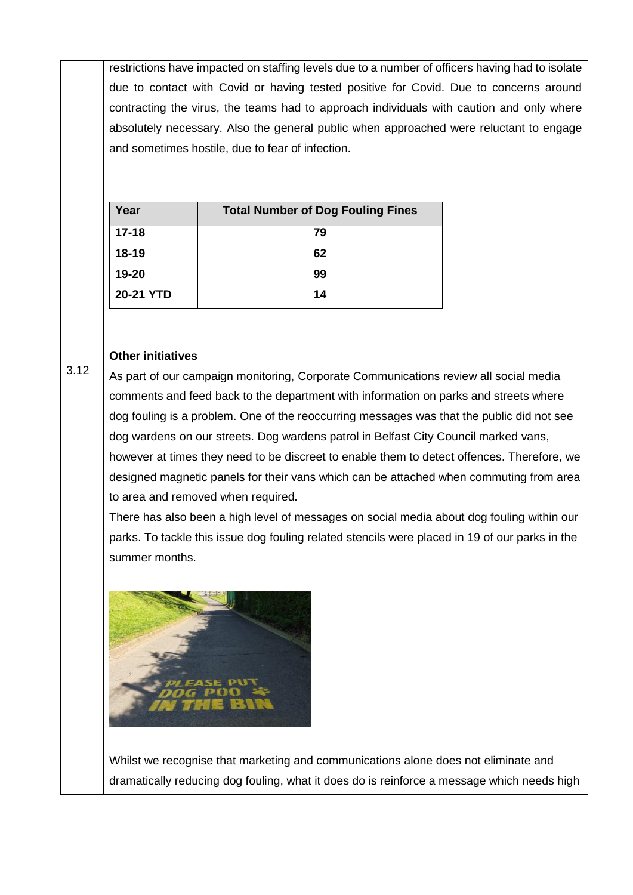restrictions have impacted on staffing levels due to a number of officers having had to isolate due to contact with Covid or having tested positive for Covid. Due to concerns around contracting the virus, the teams had to approach individuals with caution and only where absolutely necessary. Also the general public when approached were reluctant to engage and sometimes hostile, due to fear of infection.

| Year      | <b>Total Number of Dog Fouling Fines</b> |
|-----------|------------------------------------------|
| $17 - 18$ | 79                                       |
| $18 - 19$ | 62                                       |
| 19-20     | 99                                       |
| 20-21 YTD | 14                                       |

## **Other initiatives**

3.12

As part of our campaign monitoring, Corporate Communications review all social media comments and feed back to the department with information on parks and streets where dog fouling is a problem. One of the reoccurring messages was that the public did not see dog wardens on our streets. Dog wardens patrol in Belfast City Council marked vans, however at times they need to be discreet to enable them to detect offences. Therefore, we designed magnetic panels for their vans which can be attached when commuting from area to area and removed when required.

There has also been a high level of messages on social media about dog fouling within our parks. To tackle this issue dog fouling related stencils were placed in 19 of our parks in the summer months.



Whilst we recognise that marketing and communications alone does not eliminate and dramatically reducing dog fouling, what it does do is reinforce a message which needs high